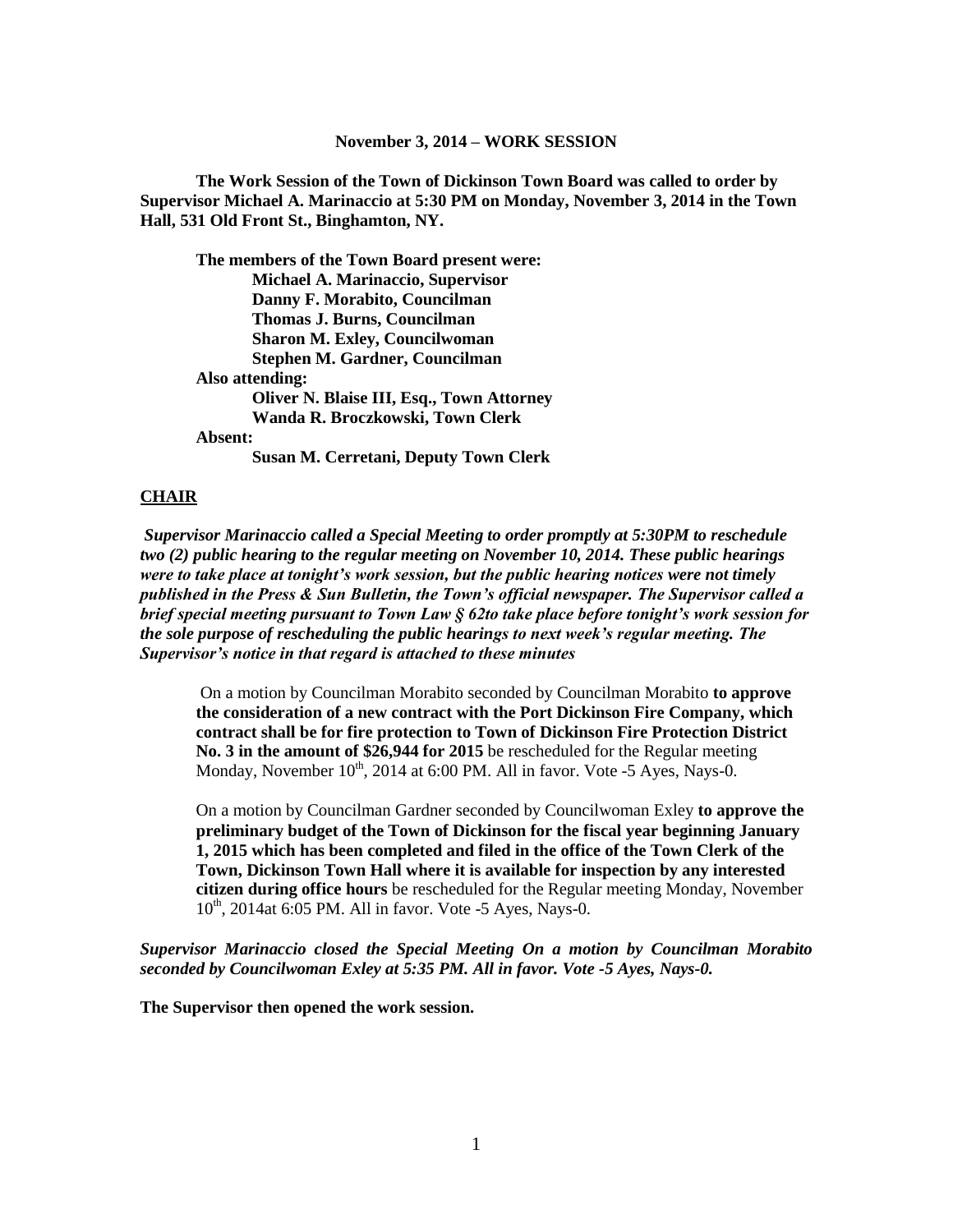#### **November 3, 2014 – WORK SESSION**

**The Work Session of the Town of Dickinson Town Board was called to order by Supervisor Michael A. Marinaccio at 5:30 PM on Monday, November 3, 2014 in the Town Hall, 531 Old Front St., Binghamton, NY.**

**The members of the Town Board present were: Michael A. Marinaccio, Supervisor Danny F. Morabito, Councilman Thomas J. Burns, Councilman Sharon M. Exley, Councilwoman Stephen M. Gardner, Councilman Also attending: Oliver N. Blaise III, Esq., Town Attorney Wanda R. Broczkowski, Town Clerk Absent: Susan M. Cerretani, Deputy Town Clerk**

#### **CHAIR**

*Supervisor Marinaccio called a Special Meeting to order promptly at 5:30PM to reschedule two (2) public hearing to the regular meeting on November 10, 2014. These public hearings were to take place at tonight's work session, but the public hearing notices were not timely published in the Press & Sun Bulletin, the Town's official newspaper. The Supervisor called a brief special meeting pursuant to Town Law § 62to take place before tonight's work session for the sole purpose of rescheduling the public hearings to next week's regular meeting. The Supervisor's notice in that regard is attached to these minutes*

On a motion by Councilman Morabito seconded by Councilman Morabito **to approve the consideration of a new contract with the Port Dickinson Fire Company, which contract shall be for fire protection to Town of Dickinson Fire Protection District No. 3 in the amount of \$26,944 for 2015** be rescheduled for the Regular meeting Monday, November  $10^{th}$ , 2014 at 6:00 PM. All in favor. Vote -5 Ayes, Nays-0.

On a motion by Councilman Gardner seconded by Councilwoman Exley **to approve the preliminary budget of the Town of Dickinson for the fiscal year beginning January 1, 2015 which has been completed and filed in the office of the Town Clerk of the Town, Dickinson Town Hall where it is available for inspection by any interested citizen during office hours** be rescheduled for the Regular meeting Monday, November  $10^{th}$ , 2014at 6:05 PM. All in favor. Vote -5 Ayes, Nays-0.

*Supervisor Marinaccio closed the Special Meeting On a motion by Councilman Morabito seconded by Councilwoman Exley at 5:35 PM. All in favor. Vote -5 Ayes, Nays-0.*

**The Supervisor then opened the work session.**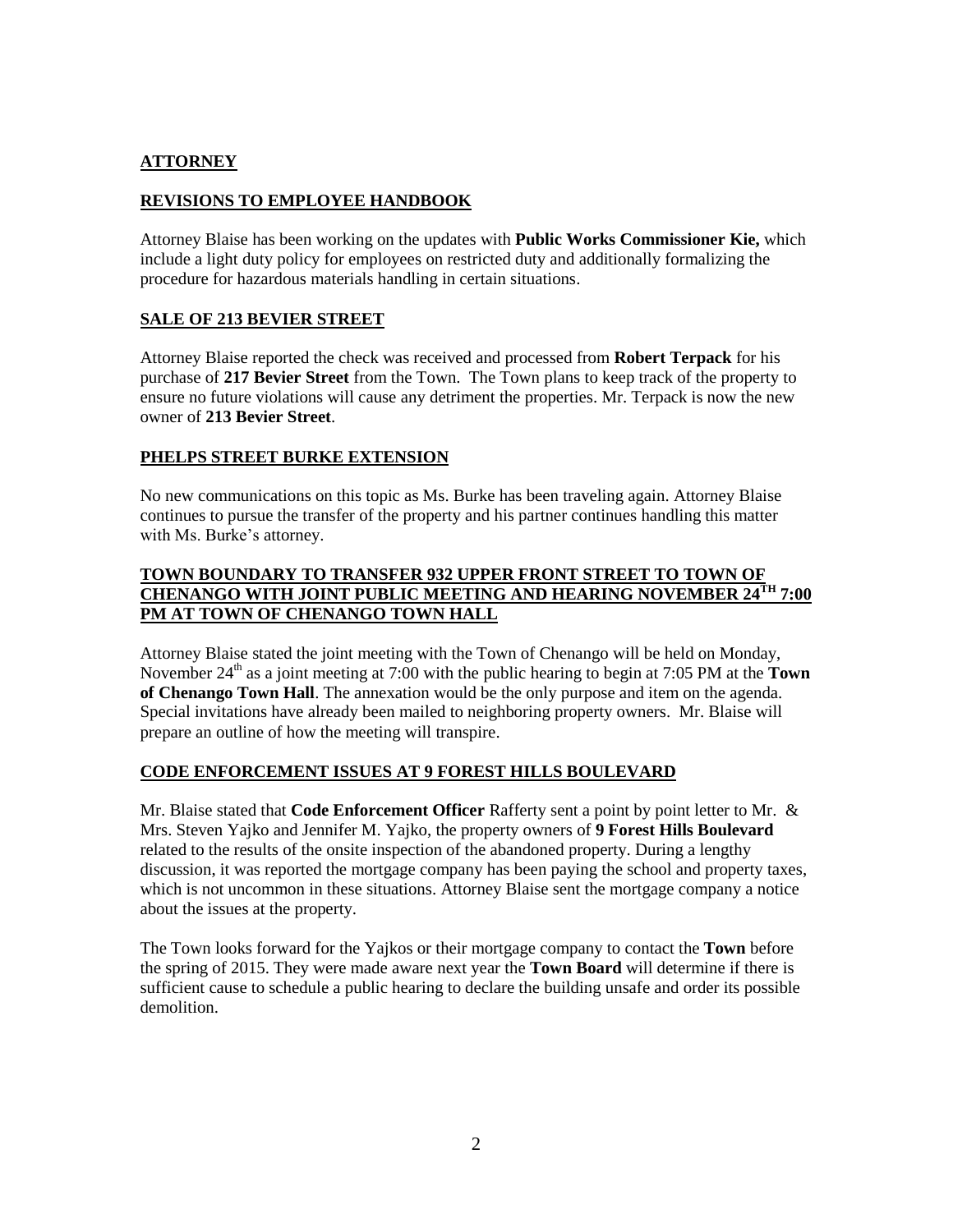## **ATTORNEY**

# **REVISIONS TO EMPLOYEE HANDBOOK**

Attorney Blaise has been working on the updates with **Public Works Commissioner Kie,** which include a light duty policy for employees on restricted duty and additionally formalizing the procedure for hazardous materials handling in certain situations.

### **SALE OF 213 BEVIER STREET**

Attorney Blaise reported the check was received and processed from **Robert Terpack** for his purchase of **217 Bevier Street** from the Town. The Town plans to keep track of the property to ensure no future violations will cause any detriment the properties. Mr. Terpack is now the new owner of **213 Bevier Street**.

### **PHELPS STREET BURKE EXTENSION**

No new communications on this topic as Ms. Burke has been traveling again. Attorney Blaise continues to pursue the transfer of the property and his partner continues handling this matter with Ms. Burke's attorney.

## **TOWN BOUNDARY TO TRANSFER 932 UPPER FRONT STREET TO TOWN OF CHENANGO WITH JOINT PUBLIC MEETING AND HEARING NOVEMBER 24TH 7:00 PM AT TOWN OF CHENANGO TOWN HALL**

Attorney Blaise stated the joint meeting with the Town of Chenango will be held on Monday, November  $24<sup>th</sup>$  as a joint meeting at 7:00 with the public hearing to begin at 7:05 PM at the **Town of Chenango Town Hall**. The annexation would be the only purpose and item on the agenda. Special invitations have already been mailed to neighboring property owners. Mr. Blaise will prepare an outline of how the meeting will transpire.

#### **CODE ENFORCEMENT ISSUES AT 9 FOREST HILLS BOULEVARD**

Mr. Blaise stated that **Code Enforcement Officer** Rafferty sent a point by point letter to Mr. & Mrs. Steven Yajko and Jennifer M. Yajko, the property owners of **9 Forest Hills Boulevard** related to the results of the onsite inspection of the abandoned property. During a lengthy discussion, it was reported the mortgage company has been paying the school and property taxes, which is not uncommon in these situations. Attorney Blaise sent the mortgage company a notice about the issues at the property.

The Town looks forward for the Yajkos or their mortgage company to contact the **Town** before the spring of 2015. They were made aware next year the **Town Board** will determine if there is sufficient cause to schedule a public hearing to declare the building unsafe and order its possible demolition.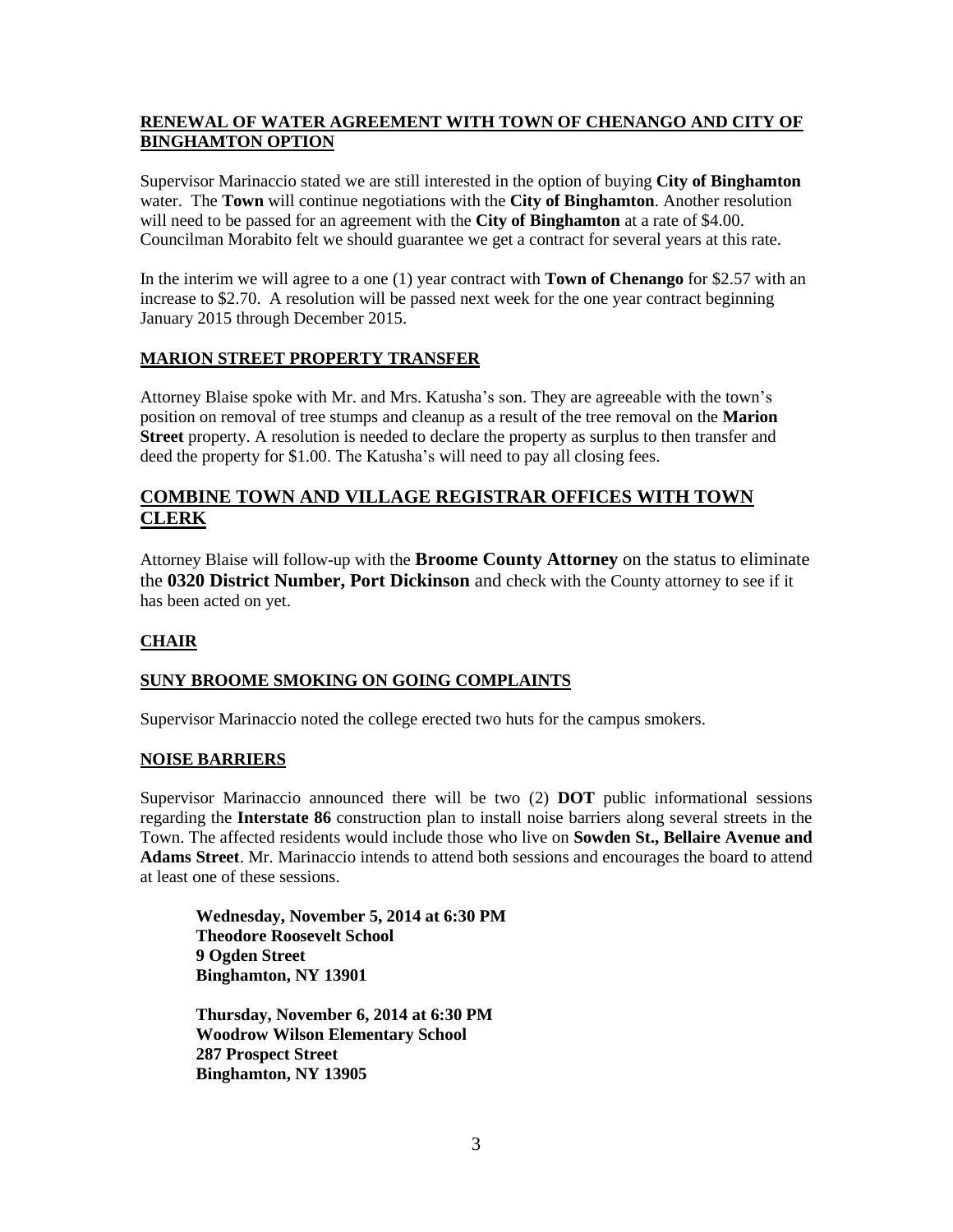## **RENEWAL OF WATER AGREEMENT WITH TOWN OF CHENANGO AND CITY OF BINGHAMTON OPTION**

Supervisor Marinaccio stated we are still interested in the option of buying **City of Binghamton** water. The **Town** will continue negotiations with the **City of Binghamton**. Another resolution will need to be passed for an agreement with the **City of Binghamton** at a rate of \$4.00. Councilman Morabito felt we should guarantee we get a contract for several years at this rate.

In the interim we will agree to a one (1) year contract with **Town of Chenango** for \$2.57 with an increase to \$2.70. A resolution will be passed next week for the one year contract beginning January 2015 through December 2015.

# **MARION STREET PROPERTY TRANSFER**

Attorney Blaise spoke with Mr. and Mrs. Katusha's son. They are agreeable with the town's position on removal of tree stumps and cleanup as a result of the tree removal on the **Marion Street** property. A resolution is needed to declare the property as surplus to then transfer and deed the property for \$1.00. The Katusha's will need to pay all closing fees.

# **COMBINE TOWN AND VILLAGE REGISTRAR OFFICES WITH TOWN CLERK**

Attorney Blaise will follow-up with the **Broome County Attorney** on the status to eliminate the **0320 District Number, Port Dickinson** and check with the County attorney to see if it has been acted on yet.

# **CHAIR**

# **SUNY BROOME SMOKING ON GOING COMPLAINTS**

Supervisor Marinaccio noted the college erected two huts for the campus smokers.

### **NOISE BARRIERS**

Supervisor Marinaccio announced there will be two (2) **DOT** public informational sessions regarding the **Interstate 86** construction plan to install noise barriers along several streets in the Town. The affected residents would include those who live on **Sowden St., Bellaire Avenue and Adams Street**. Mr. Marinaccio intends to attend both sessions and encourages the board to attend at least one of these sessions.

**Wednesday, November 5, 2014 at 6:30 PM Theodore Roosevelt School 9 Ogden Street Binghamton, NY 13901**

**Thursday, November 6, 2014 at 6:30 PM Woodrow Wilson Elementary School 287 Prospect Street Binghamton, NY 13905**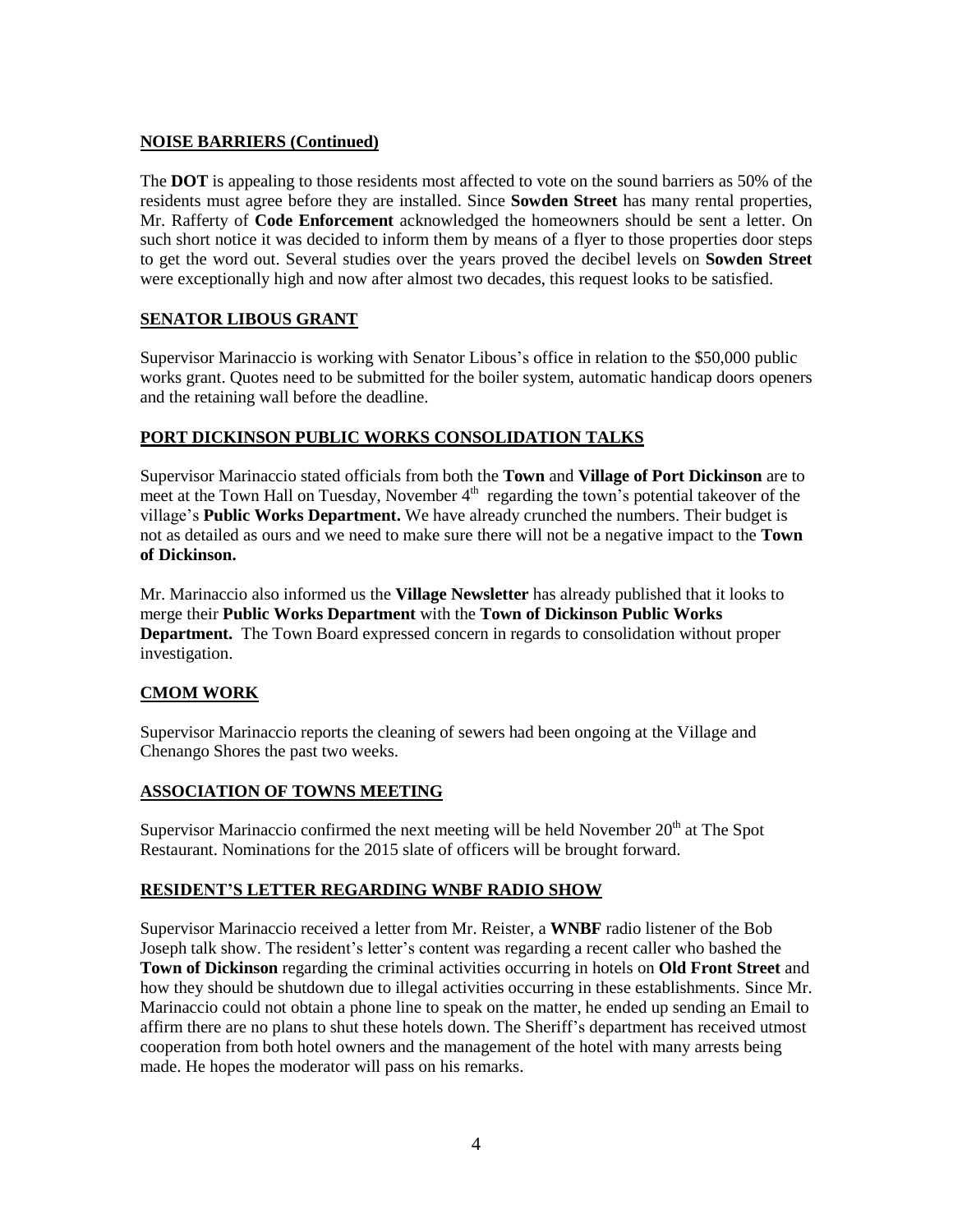# **NOISE BARRIERS (Continued)**

The **DOT** is appealing to those residents most affected to vote on the sound barriers as 50% of the residents must agree before they are installed. Since **Sowden Street** has many rental properties, Mr. Rafferty of **Code Enforcement** acknowledged the homeowners should be sent a letter. On such short notice it was decided to inform them by means of a flyer to those properties door steps to get the word out. Several studies over the years proved the decibel levels on **Sowden Street** were exceptionally high and now after almost two decades, this request looks to be satisfied.

## **SENATOR LIBOUS GRANT**

Supervisor Marinaccio is working with Senator Libous's office in relation to the \$50,000 public works grant. Quotes need to be submitted for the boiler system, automatic handicap doors openers and the retaining wall before the deadline.

## **PORT DICKINSON PUBLIC WORKS CONSOLIDATION TALKS**

Supervisor Marinaccio stated officials from both the **Town** and **Village of Port Dickinson** are to meet at the Town Hall on Tuesday, November  $4<sup>th</sup>$  regarding the town's potential takeover of the village's **Public Works Department.** We have already crunched the numbers. Their budget is not as detailed as ours and we need to make sure there will not be a negative impact to the **Town of Dickinson.**

Mr. Marinaccio also informed us the **Village Newsletter** has already published that it looks to merge their **Public Works Department** with the **Town of Dickinson Public Works Department.** The Town Board expressed concern in regards to consolidation without proper investigation.

# **CMOM WORK**

Supervisor Marinaccio reports the cleaning of sewers had been ongoing at the Village and Chenango Shores the past two weeks.

# **ASSOCIATION OF TOWNS MEETING**

Supervisor Marinaccio confirmed the next meeting will be held November  $20<sup>th</sup>$  at The Spot Restaurant. Nominations for the 2015 slate of officers will be brought forward.

# **RESIDENT'S LETTER REGARDING WNBF RADIO SHOW**

Supervisor Marinaccio received a letter from Mr. Reister, a **WNBF** radio listener of the Bob Joseph talk show. The resident's letter's content was regarding a recent caller who bashed the **Town of Dickinson** regarding the criminal activities occurring in hotels on **Old Front Street** and how they should be shutdown due to illegal activities occurring in these establishments. Since Mr. Marinaccio could not obtain a phone line to speak on the matter, he ended up sending an Email to affirm there are no plans to shut these hotels down. The Sheriff's department has received utmost cooperation from both hotel owners and the management of the hotel with many arrests being made. He hopes the moderator will pass on his remarks.